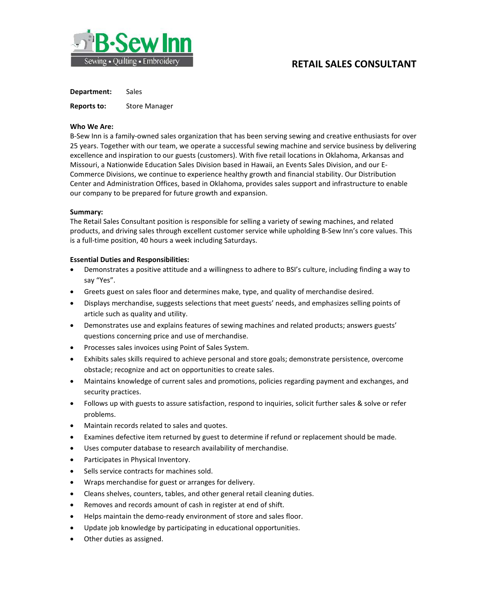

# **RETAIL SALES CONSULTANT**

**Department:** Sales

**Reports to:** Store Manager

### **Who We Are:**

B-Sew Inn is a family-owned sales organization that has been serving sewing and creative enthusiasts for over 25 years. Together with our team, we operate a successful sewing machine and service business by delivering excellence and inspiration to our guests (customers). With five retail locations in Oklahoma, Arkansas and Missouri, a Nationwide Education Sales Division based in Hawaii, an Events Sales Division, and our E-Commerce Divisions, we continue to experience healthy growth and financial stability. Our Distribution Center and Administration Offices, based in Oklahoma, provides sales support and infrastructure to enable our company to be prepared for future growth and expansion.

### **Summary:**

The Retail Sales Consultant position is responsible for selling a variety of sewing machines, and related products, and driving sales through excellent customer service while upholding B-Sew Inn's core values. This is a full-time position, 40 hours a week including Saturdays.

### **Essential Duties and Responsibilities:**

- Demonstrates a positive attitude and a willingness to adhere to BSI's culture, including finding a way to say "Yes".
- Greets guest on sales floor and determines make, type, and quality of merchandise desired.
- Displays merchandise, suggests selections that meet guests' needs, and emphasizes selling points of article such as quality and utility.
- Demonstrates use and explains features of sewing machines and related products; answers guests' questions concerning price and use of merchandise.
- Processes sales invoices using Point of Sales System.
- Exhibits sales skills required to achieve personal and store goals; demonstrate persistence, overcome obstacle; recognize and act on opportunities to create sales.
- Maintains knowledge of current sales and promotions, policies regarding payment and exchanges, and security practices.
- Follows up with guests to assure satisfaction, respond to inquiries, solicit further sales & solve or refer problems.
- Maintain records related to sales and quotes.
- Examines defective item returned by guest to determine if refund or replacement should be made.
- Uses computer database to research availability of merchandise.
- Participates in Physical Inventory.
- Sells service contracts for machines sold.
- Wraps merchandise for guest or arranges for delivery.
- Cleans shelves, counters, tables, and other general retail cleaning duties.
- Removes and records amount of cash in register at end of shift.
- Helps maintain the demo-ready environment of store and sales floor.
- Update job knowledge by participating in educational opportunities.
- Other duties as assigned.